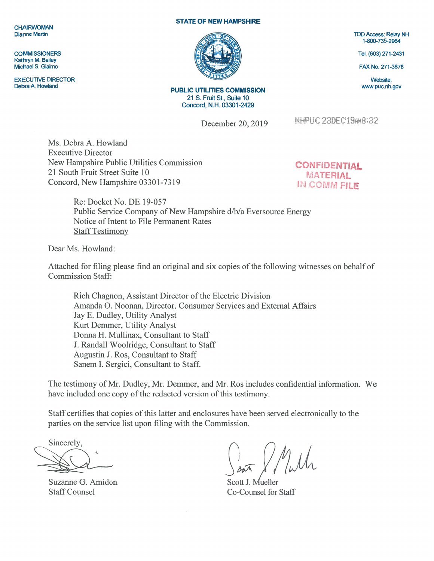## **CHAIRWOMAN** Dianne Martin

**COMMISSIONERS** Kathryn M. Bailey Michael S. Giaimo

EXECUTIVE DIRECTOR Debra A. Howland

## STATE OF NEW HAMPSHIRE



PUBLIC UTILITIES COMMISSION 21 S. Fruit St., Suite 10 Concord, N.H. 03301-2429

December 20, 2019

NHPUC 23DEC'19AM8:32

Ms. Debra A. Howland Executive Director New Hampshire Public Utilities Commission 21 South Fruit Street Suite 10 Concord, New Hampshire 03301-73 19

**CONFIDENTIAL MATERIAL** IN COMM FILE

Re: Docket No. DE 19-057 Public Service Company of New Hampshire d/b/a Eversource Energy Notice of Intent to File Permanent Rates Staff Testimony

Dear Ms. Howland:

Attached for filing please find an original and six copies of the following witnesses on behalf of Commission Staff:

Rich Chagnon, Assistant Director of the Electric Division Amanda 0. Noonan, Director, Consumer Services and External Affairs Jay E. Dudley, Utility Analyst Kurt Demmer, Utility Analyst Donna H. Mullinax, Consultant to Staff J. Randall Woolridge, Consultant to Staff Augustin J. Ros, Consultant to Staff Sanem I. Sergici, Consultant to Staff.

The testimony of Mr. Dudley, Mr. Demmer, and Mr. Ros includes confidential information. We have included one copy of the redacted version of this testimony.

Staff certifies that copies of this latter and enclosures have been served electronically to the parties on the service list upon filing with the Commission.

Sincerely,

Suzanne G. Amidon Staff Counsel

Scott J. Mueller Co-Counsel for Staff

TDD Access: Relay NH 1-800-735-2964

Tel. (603) 271-2431

FAX No. 271-3878

Website: www.puc.nh.gov